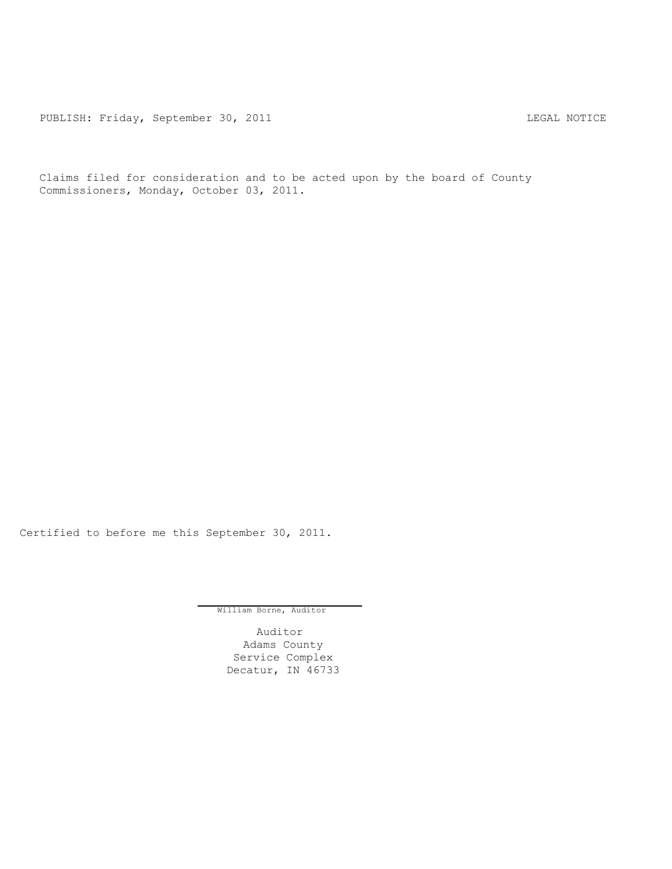PUBLISH: Friday, September 30, 2011 LEGAL NOTICE

Claims filed for consideration and to be acted upon by the board of County Commissioners, Monday, October 03, 2011.

Certified to before me this September 30, 2011.

William Borne, Auditor

Auditor Adams County Service Complex Decatur, IN 46733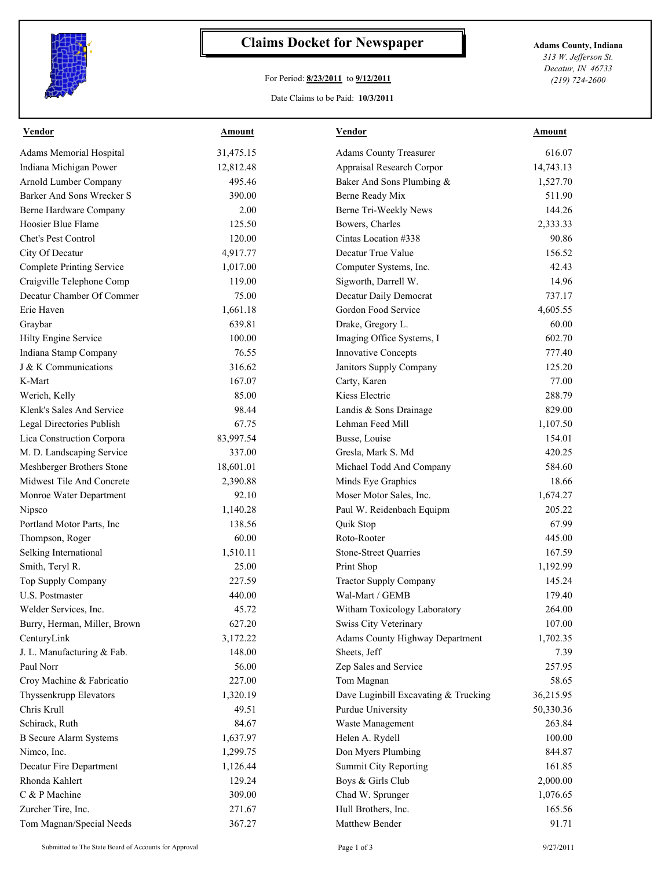

## **Claims Docket for Newspaper Adams County, Indiana**

## For Period: **8/23/2011** to **9/12/2011**

*313 W. Jefferson St. Decatur, IN 46733 (219) 724-2600*

## Date Claims to be Paid: **10/3/2011**

| <b>Vendor</b>                    | Amount    | <b>Vendor</b>                        | Amount    |
|----------------------------------|-----------|--------------------------------------|-----------|
| Adams Memorial Hospital          | 31,475.15 | <b>Adams County Treasurer</b>        | 616.07    |
| Indiana Michigan Power           | 12,812.48 | Appraisal Research Corpor            | 14,743.13 |
| Arnold Lumber Company            | 495.46    | Baker And Sons Plumbing &            | 1,527.70  |
| Barker And Sons Wrecker S        | 390.00    | Berne Ready Mix                      | 511.90    |
| Berne Hardware Company           | 2.00      | Berne Tri-Weekly News                | 144.26    |
| Hoosier Blue Flame               | 125.50    | Bowers, Charles                      | 2,333.33  |
| Chet's Pest Control              | 120.00    | Cintas Location #338                 | 90.86     |
| City Of Decatur                  | 4,917.77  | Decatur True Value                   | 156.52    |
| <b>Complete Printing Service</b> | 1,017.00  | Computer Systems, Inc.               | 42.43     |
| Craigville Telephone Comp        | 119.00    | Sigworth, Darrell W.                 | 14.96     |
| Decatur Chamber Of Commer        | 75.00     | Decatur Daily Democrat               | 737.17    |
| Erie Haven                       | 1,661.18  | Gordon Food Service                  | 4,605.55  |
| Graybar                          | 639.81    | Drake, Gregory L.                    | 60.00     |
| Hilty Engine Service             | 100.00    | Imaging Office Systems, I            | 602.70    |
| Indiana Stamp Company            | 76.55     | <b>Innovative Concepts</b>           | 777.40    |
| J & K Communications             | 316.62    | Janitors Supply Company              | 125.20    |
| K-Mart                           | 167.07    | Carty, Karen                         | 77.00     |
| Werich, Kelly                    | 85.00     | Kiess Electric                       | 288.79    |
| Klenk's Sales And Service        | 98.44     | Landis & Sons Drainage               | 829.00    |
| Legal Directories Publish        | 67.75     | Lehman Feed Mill                     | 1,107.50  |
| Lica Construction Corpora        | 83,997.54 | Busse, Louise                        | 154.01    |
| M. D. Landscaping Service        | 337.00    | Gresla, Mark S. Md                   | 420.25    |
| Meshberger Brothers Stone        | 18,601.01 | Michael Todd And Company             | 584.60    |
| Midwest Tile And Concrete        | 2,390.88  | Minds Eye Graphics                   | 18.66     |
| Monroe Water Department          | 92.10     | Moser Motor Sales, Inc.              | 1,674.27  |
| Nipsco                           | 1,140.28  | Paul W. Reidenbach Equipm            | 205.22    |
| Portland Motor Parts, Inc        | 138.56    | Quik Stop                            | 67.99     |
| Thompson, Roger                  | 60.00     | Roto-Rooter                          | 445.00    |
| Selking International            | 1,510.11  | <b>Stone-Street Quarries</b>         | 167.59    |
| Smith, Teryl R.                  | 25.00     | Print Shop                           | 1,192.99  |
| Top Supply Company               | 227.59    | <b>Tractor Supply Company</b>        | 145.24    |
| <b>U.S. Postmaster</b>           | 440.00    | Wal-Mart / GEMB                      | 179.40    |
| Welder Services, Inc.            | 45.72     | Witham Toxicology Laboratory         | 264.00    |
| Burry, Herman, Miller, Brown     | 627.20    | Swiss City Veterinary                | 107.00    |
| CenturyLink                      | 3,172.22  | Adams County Highway Department      | 1,702.35  |
| J. L. Manufacturing & Fab.       | 148.00    | Sheets, Jeff                         | 7.39      |
| Paul Norr                        | 56.00     | Zep Sales and Service                | 257.95    |
| Croy Machine & Fabricatio        | 227.00    | Tom Magnan                           | 58.65     |
| Thyssenkrupp Elevators           | 1,320.19  | Dave Luginbill Excavating & Trucking | 36,215.95 |
| Chris Krull                      | 49.51     | Purdue University                    | 50,330.36 |
| Schirack, Ruth                   | 84.67     | Waste Management                     | 263.84    |
| <b>B</b> Secure Alarm Systems    | 1,637.97  | Helen A. Rydell                      | 100.00    |
| Nimco, Inc.                      | 1,299.75  | Don Myers Plumbing                   | 844.87    |
| Decatur Fire Department          | 1,126.44  | <b>Summit City Reporting</b>         | 161.85    |
| Rhonda Kahlert                   | 129.24    | Boys & Girls Club                    | 2,000.00  |
| C & P Machine                    | 309.00    | Chad W. Sprunger                     | 1,076.65  |
| Zurcher Tire, Inc.               | 271.67    | Hull Brothers, Inc.                  | 165.56    |
| Tom Magnan/Special Needs         | 367.27    | Matthew Bender                       | 91.71     |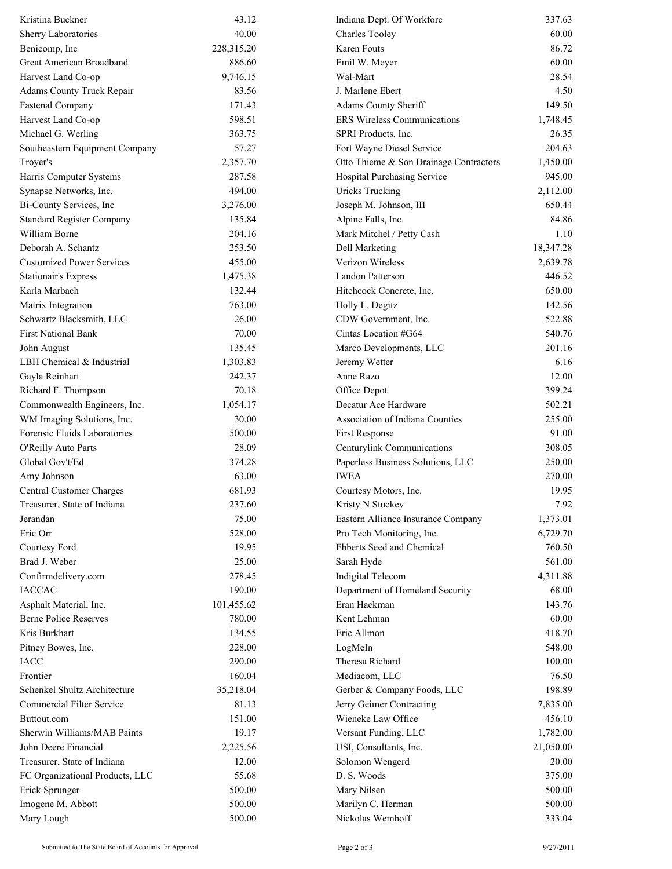| Kristina Buckner                 | 43.12      | Indiana Dept. Of Workforc              | 337.63    |
|----------------------------------|------------|----------------------------------------|-----------|
| Sherry Laboratories              | 40.00      | <b>Charles Tooley</b>                  | 60.00     |
| Benicomp, Inc                    | 228,315.20 | Karen Fouts                            | 86.72     |
| Great American Broadband         | 886.60     | Emil W. Meyer                          | 60.00     |
| Harvest Land Co-op               | 9,746.15   | Wal-Mart                               | 28.54     |
| Adams County Truck Repair        | 83.56      | J. Marlene Ebert                       | 4.50      |
| <b>Fastenal Company</b>          | 171.43     | Adams County Sheriff                   | 149.50    |
| Harvest Land Co-op               | 598.51     | <b>ERS Wireless Communications</b>     | 1,748.45  |
| Michael G. Werling               | 363.75     | SPRI Products, Inc.                    | 26.35     |
| Southeastern Equipment Company   | 57.27      | Fort Wayne Diesel Service              | 204.63    |
| Troyer's                         | 2,357.70   | Otto Thieme & Son Drainage Contractors | 1,450.00  |
| Harris Computer Systems          | 287.58     | Hospital Purchasing Service            | 945.00    |
| Synapse Networks, Inc.           | 494.00     | <b>Uricks Trucking</b>                 | 2,112.00  |
| Bi-County Services, Inc          | 3,276.00   | Joseph M. Johnson, III                 | 650.44    |
| <b>Standard Register Company</b> | 135.84     | Alpine Falls, Inc.                     | 84.86     |
| William Borne                    | 204.16     | Mark Mitchel / Petty Cash              | 1.10      |
| Deborah A. Schantz               | 253.50     | Dell Marketing                         | 18,347.28 |
| <b>Customized Power Services</b> | 455.00     | Verizon Wireless                       | 2,639.78  |
| <b>Stationair's Express</b>      | 1,475.38   | Landon Patterson                       | 446.52    |
| Karla Marbach                    | 132.44     | Hitchcock Concrete, Inc.               | 650.00    |
| Matrix Integration               | 763.00     | Holly L. Degitz                        | 142.56    |
| Schwartz Blacksmith, LLC         | 26.00      | CDW Government, Inc.                   | 522.88    |
| <b>First National Bank</b>       | 70.00      | Cintas Location #G64                   | 540.76    |
| John August                      | 135.45     | Marco Developments, LLC                | 201.16    |
| LBH Chemical & Industrial        | 1,303.83   | Jeremy Wetter                          | 6.16      |
| Gayla Reinhart                   | 242.37     | Anne Razo                              | 12.00     |
| Richard F. Thompson              | 70.18      | Office Depot                           | 399.24    |
| Commonwealth Engineers, Inc.     | 1,054.17   | Decatur Ace Hardware                   | 502.21    |
| WM Imaging Solutions, Inc.       | 30.00      | Association of Indiana Counties        | 255.00    |
| Forensic Fluids Laboratories     | 500.00     | First Response                         | 91.00     |
| O'Reilly Auto Parts              | 28.09      | Centurylink Communications             | 308.05    |
| Global Gov't/Ed                  | 374.28     | Paperless Business Solutions, LLC      | 250.00    |
| Amy Johnson                      | 63.00      | <b>IWEA</b>                            | 270.00    |
| <b>Central Customer Charges</b>  | 681.93     | Courtesy Motors, Inc.                  | 19.95     |
| Treasurer, State of Indiana      | 237.60     | Kristy N Stuckey                       | 7.92      |
| Jerandan                         | 75.00      | Eastern Alliance Insurance Company     | 1,373.01  |
| Eric Orr                         | 528.00     | Pro Tech Monitoring, Inc.              | 6,729.70  |
| Courtesy Ford                    | 19.95      | Ebberts Seed and Chemical              | 760.50    |
| Brad J. Weber                    | 25.00      | Sarah Hyde                             | 561.00    |
| Confirmdelivery.com              | 278.45     | Indigital Telecom                      | 4,311.88  |
| <b>IACCAC</b>                    | 190.00     | Department of Homeland Security        | 68.00     |
| Asphalt Material, Inc.           | 101,455.62 | Eran Hackman                           | 143.76    |
| <b>Berne Police Reserves</b>     | 780.00     | Kent Lehman                            | 60.00     |
| Kris Burkhart                    | 134.55     | Eric Allmon                            | 418.70    |
| Pitney Bowes, Inc.               | 228.00     | LogMeIn                                | 548.00    |
| <b>IACC</b>                      | 290.00     | Theresa Richard                        | 100.00    |
| Frontier                         | 160.04     | Mediacom, LLC                          | 76.50     |
| Schenkel Shultz Architecture     | 35,218.04  | Gerber & Company Foods, LLC            | 198.89    |
| Commercial Filter Service        | 81.13      | Jerry Geimer Contracting               | 7,835.00  |
| Buttout.com                      | 151.00     | Wieneke Law Office                     | 456.10    |
| Sherwin Williams/MAB Paints      | 19.17      | Versant Funding, LLC                   | 1,782.00  |
| John Deere Financial             | 2,225.56   | USI, Consultants, Inc.                 | 21,050.00 |
| Treasurer, State of Indiana      | 12.00      | Solomon Wengerd                        | 20.00     |
| FC Organizational Products, LLC  | 55.68      | D. S. Woods                            | 375.00    |
| Erick Sprunger                   | 500.00     | Mary Nilsen                            | 500.00    |
| Imogene M. Abbott                | 500.00     | Marilyn C. Herman                      | 500.00    |
| Mary Lough                       | 500.00     | Nickolas Wemhoff                       | 333.04    |